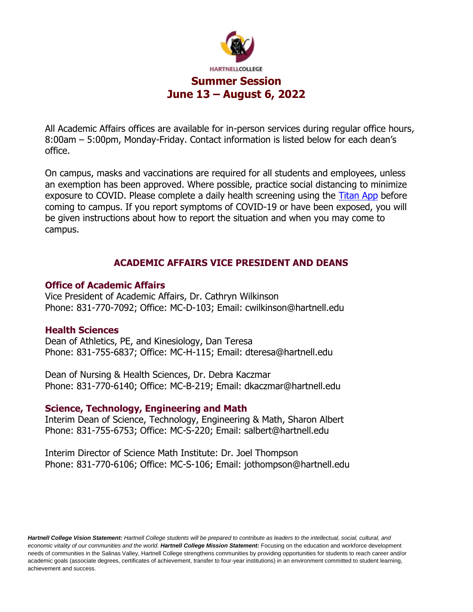

All Academic Affairs offices are available for in-person services during regular office hours, 8:00am – 5:00pm, Monday-Friday. Contact information is listed below for each dean's office.

On campus, masks and vaccinations are required for all students and employees, unless an exemption has been approved. Where possible, practice social distancing to minimize exposure to COVID. Please complete a daily health screening using the [Titan App](https://www.hartnell.edu/about/safety/emergency/titan_hst_app_enrollment.html) before coming to campus. If you report symptoms of COVID-19 or have been exposed, you will be given instructions about how to report the situation and when you may come to campus.

# **ACADEMIC AFFAIRS VICE PRESIDENT AND DEANS**

## **Office of Academic Affairs**

Vice President of Academic Affairs, Dr. Cathryn Wilkinson Phone: 831-770-7092; Office: MC-D-103; Email: cwilkinson@hartnell.edu

## **Health Sciences**

Dean of Athletics, PE, and Kinesiology, Dan Teresa Phone: 831-755-6837; Office: MC-H-115; Email: dteresa@hartnell.edu

Dean of Nursing & Health Sciences, Dr. Debra Kaczmar Phone: 831-770-6140; Office: MC-B-219; Email: dkaczmar@hartnell.edu

## **Science, Technology, Engineering and Math**

Interim Dean of Science, Technology, Engineering & Math, Sharon Albert Phone: 831-755-6753; Office: MC-S-220; Email: salbert@hartnell.edu

Interim Director of Science Math Institute: Dr. Joel Thompson Phone: 831-770-6106; Office: MC-S-106; Email: jothompson@hartnell.edu

*Hartnell College Vision Statement: Hartnell College students will be prepared to contribute as leaders to the intellectual, social, cultural, and economic vitality of our communities and the world. Hartnell College Mission Statement:* Focusing on the education and workforce development needs of communities in the Salinas Valley, Hartnell College strengthens communities by providing opportunities for students to reach career and/or academic goals (associate degrees, certificates of achievement, transfer to four-year institutions) in an environment committed to student learning, achievement and success*.*